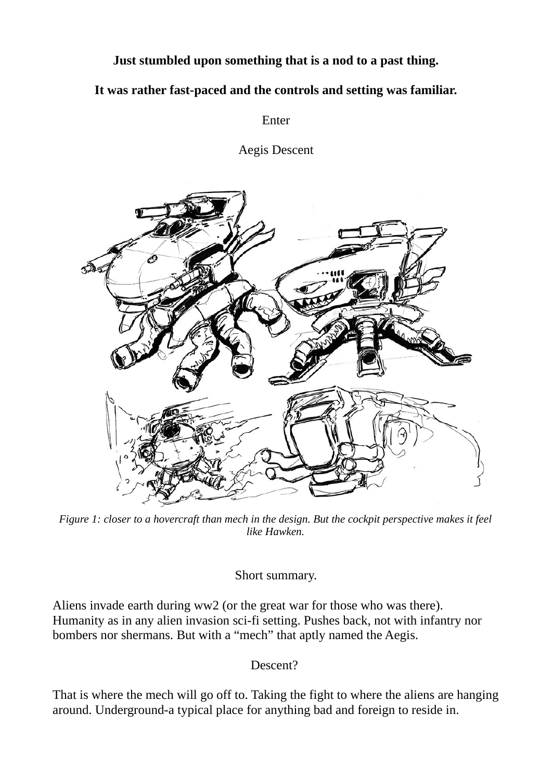## **Just stumbled upon something that is a nod to a past thing.**

## **It was rather fast-paced and the controls and setting was familiar.**

Enter

Aegis Descent



*Figure 1: closer to a hovercraft than mech in the design. But the cockpit perspective makes it feel like Hawken.*

Short summary.

Aliens invade earth during ww2 (or the great war for those who was there). Humanity as in any alien invasion sci-fi setting. Pushes back, not with infantry nor bombers nor shermans. But with a "mech" that aptly named the Aegis.

Descent?

That is where the mech will go off to. Taking the fight to where the aliens are hanging around. Underground-a typical place for anything bad and foreign to reside in.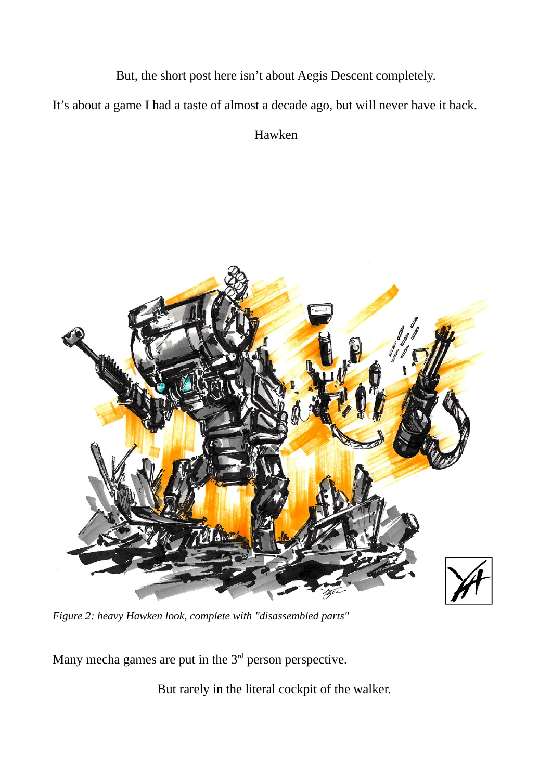But, the short post here isn't about Aegis Descent completely.

It's about a game I had a taste of almost a decade ago, but will never have it back.

Hawken



*Figure 2: heavy Hawken look, complete with "disassembled parts"*

Many mecha games are put in the  $3<sup>rd</sup>$  person perspective.

But rarely in the literal cockpit of the walker.